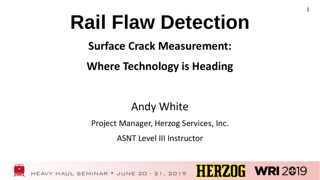### **Rail Flaw Detection**

1

**Surface Crack Measurement:** 

**Where Technology is Heading**

#### Andy White

Project Manager, Herzog Services, Inc.

ASNT Level III Instructor

- SEMINAR • JUNE 20 - 21, 2019

**HERZO** 

 $G$  WRI 2019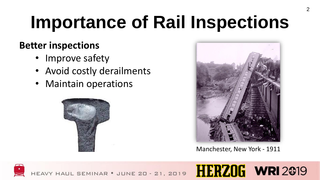## **Importance of Rail Inspections**

#### **Better inspections**

- Improve safety
- Avoid costly derailments
- Maintain operations





Manchester, New York - 1911

**HERZOG WRI2019** 

UL SEMINAR . JUNE 20 - 21, 2019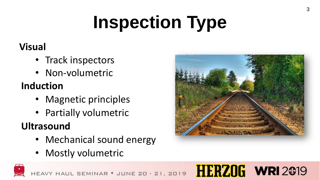## **Inspection Type**

#### **Visual**

- Track inspectors
- Non-volumetric

#### **Induction**

- Magnetic principles
- Partially volumetric

#### **Ultrasound**

• Mechanical sound energy

SEMINAR . JUNE 20 - 21, 2019

• Mostly volumetric



### **HERZOG WRI2019**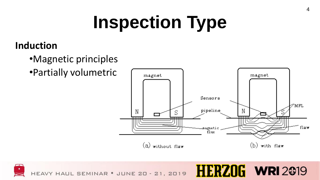## **Inspection Type**

#### **Induction**

- •Magnetic principles
- •Partially volumetric





 $\mathbf{G}$  WRI 2019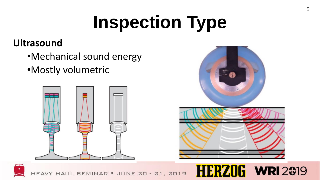# **Inspection Type**

#### **Ultrasound**

- •Mechanical sound energy
- •Mostly volumetric







MINAR · JUNE 20 - 21, 2019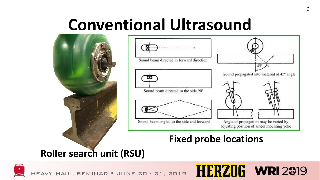### **Conventional Ultrasound**





#### **Fixed probe locations**

**HERZOG WRI 2019** 

#### **Roller search unit (RSU)**



HEAVY HAUL SEMINAR . JUNE 20 - 21, 2019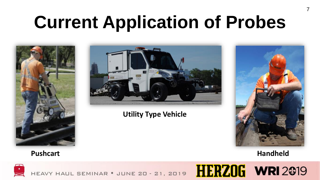## **Current Application of Probes**





#### **Utility Type Vehicle**



**Pushcart Handheld**



HEAVY HAUL SEMINAR . JUNE 20 - 21, 2019 HERZOG WRI 2019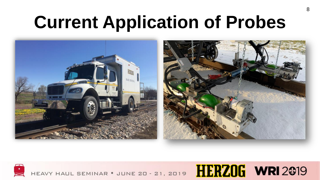## **Current Application of Probes**



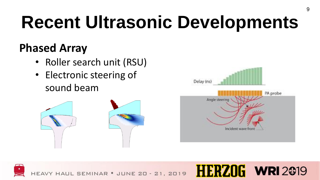## **Recent Ultrasonic Developments**

### **Phased Array**

- Roller search unit (RSU)
- Electronic steering of sound beam





**HERZOG WRI2019** 

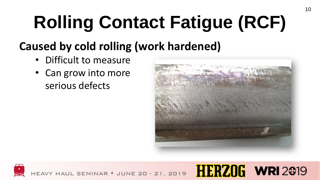# **Rolling Contact Fatigue (RCF)**

### **Caused by cold rolling (work hardened)**

- Difficult to measure
- Can grow into more serious defects



HERZO

 $G$  WRI 2019

10



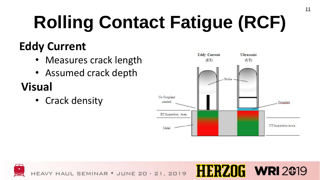# **Rolling Contact Fatigue (RCF)**

### **Eddy Current**

- Measures crack length
- Assumed crack depth

### **Visual**

• Crack density



 $\mathsf{F}$  WRI 2019

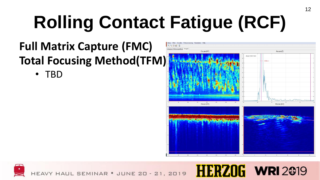# **Rolling Contact Fatigue (RCF)**

#### **Full Matrix Capture (FMC) Total Focusing Method(TFM)**

• TBD



 $\mathbf{h}$  WRI 2019

1:19!*V* 

12

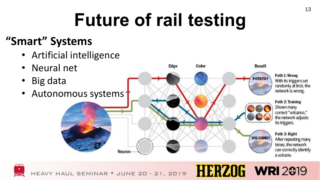## **Future of rail testing**

#### **"Smart" Systems**

- Artificial intelligence
- Neural net
- Big data
- Autonomous systems



**HERZOG WRI2019** 

HAUL SEMINAR . JUNE 20 - 21, 2019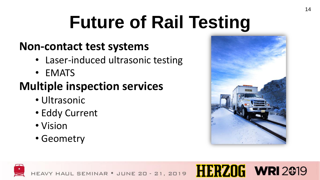## **Future of Rail Testing**

#### **Non-contact test systems**

- Laser-induced ultrasonic testing
- EMATS

### **Multiple inspection services**

- Ultrasonic
- Eddy Current
- Vision
- Geometry